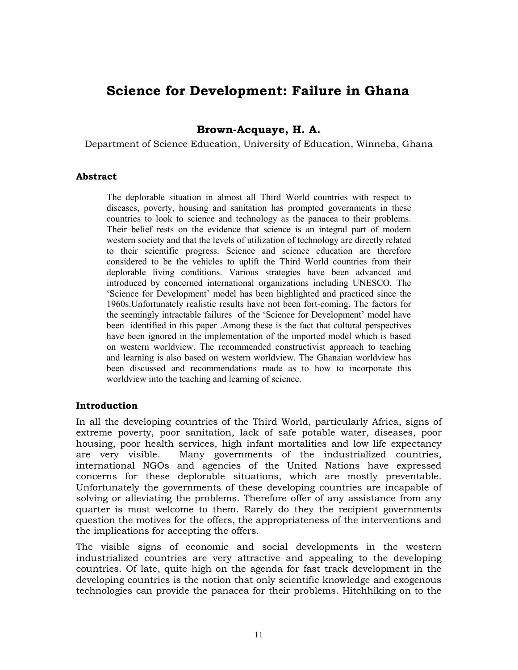# Science for Development: Failure in Ghana

# Brown-Acquaye, H. A.

Department of Science Education, University of Education, Winneba, Ghana

#### Abstract

The deplorable situation in almost all Third World countries with respect to diseases, poverty, housing and sanitation has prompted governments in these countries to look to science and technology as the panacea to their problems. Their belief rests on the evidence that science is an integral part of modern western society and that the levels of utilization of technology are directly related to their scientific progress. Science and science education are therefore considered to be the vehicles to uplift the Third World countries from their deplorable living conditions. Various strategies have been advanced and introduced by concerned international organizations including UNESCO. The 'Science for Development' model has been highlighted and practiced since the 1960s.Unfortunately realistic results have not been fort-coming. The factors for the seemingly intractable failures of the 'Science for Development' model have been identified in this paper .Among these is the fact that cultural perspectives have been ignored in the implementation of the imported model which is based on western worldview. The recommended constructivist approach to teaching and learning is also based on western worldview. The Ghanaian worldview has been discussed and recommendations made as to how to incorporate this worldview into the teaching and learning of science.

#### Introduction

In all the developing countries of the Third World, particularly Africa, signs of extreme poverty, poor sanitation, lack of safe potable water, diseases, poor housing, poor health services, high infant mortalities and low life expectancy are very visible. Many governments of the industrialized countries, international NGOs and agencies of the United Nations have expressed concerns for these deplorable situations, which are mostly preventable. Unfortunately the governments of these developing countries are incapable of solving or alleviating the problems. Therefore offer of any assistance from any quarter is most welcome to them. Rarely do they the recipient governments question the motives for the offers, the appropriateness of the interventions and the implications for accepting the offers.

The visible signs of economic and social developments in the western industrialized countries are very attractive and appealing to the developing countries. Of late, quite high on the agenda for fast track development in the developing countries is the notion that only scientific knowledge and exogenous technologies can provide the panacea for their problems. Hitchhiking on to the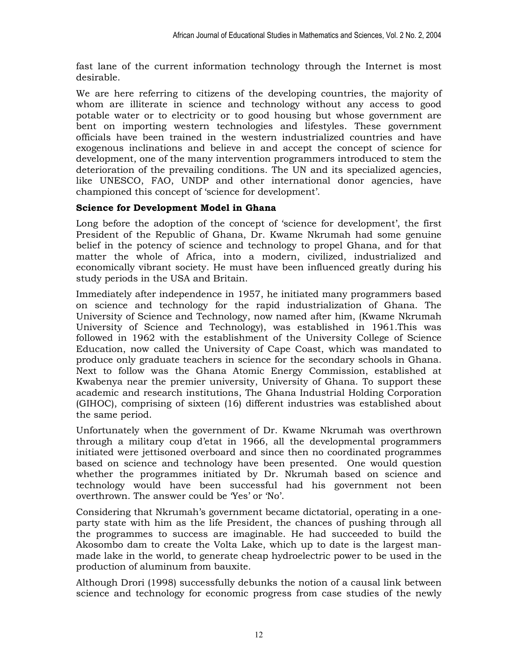fast lane of the current information technology through the Internet is most desirable.

We are here referring to citizens of the developing countries, the majority of whom are illiterate in science and technology without any access to good potable water or to electricity or to good housing but whose government are bent on importing western technologies and lifestyles. These government officials have been trained in the western industrialized countries and have exogenous inclinations and believe in and accept the concept of science for development, one of the many intervention programmers introduced to stem the deterioration of the prevailing conditions. The UN and its specialized agencies, like UNESCO, FAO, UNDP and other international donor agencies, have championed this concept of 'science for development'.

#### Science for Development Model in Ghana

Long before the adoption of the concept of 'science for development', the first President of the Republic of Ghana, Dr. Kwame Nkrumah had some genuine belief in the potency of science and technology to propel Ghana, and for that matter the whole of Africa, into a modern, civilized, industrialized and economically vibrant society. He must have been influenced greatly during his study periods in the USA and Britain.

Immediately after independence in 1957, he initiated many programmers based on science and technology for the rapid industrialization of Ghana. The University of Science and Technology, now named after him, (Kwame Nkrumah University of Science and Technology), was established in 1961.This was followed in 1962 with the establishment of the University College of Science Education, now called the University of Cape Coast, which was mandated to produce only graduate teachers in science for the secondary schools in Ghana. Next to follow was the Ghana Atomic Energy Commission, established at Kwabenya near the premier university, University of Ghana. To support these academic and research institutions, The Ghana Industrial Holding Corporation (GIHOC), comprising of sixteen (16) different industries was established about the same period.

Unfortunately when the government of Dr. Kwame Nkrumah was overthrown through a military coup d'etat in 1966, all the developmental programmers initiated were jettisoned overboard and since then no coordinated programmes based on science and technology have been presented. One would question whether the programmes initiated by Dr. Nkrumah based on science and technology would have been successful had his government not been overthrown. The answer could be 'Yes' or 'No'.

Considering that Nkrumah's government became dictatorial, operating in a oneparty state with him as the life President, the chances of pushing through all the programmes to success are imaginable. He had succeeded to build the Akosombo dam to create the Volta Lake, which up to date is the largest manmade lake in the world, to generate cheap hydroelectric power to be used in the production of aluminum from bauxite.

Although Drori (1998) successfully debunks the notion of a causal link between science and technology for economic progress from case studies of the newly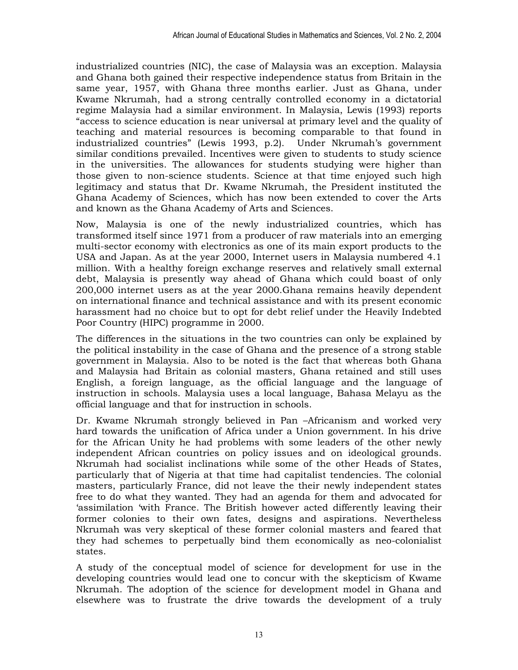industrialized countries (NIC), the case of Malaysia was an exception. Malaysia and Ghana both gained their respective independence status from Britain in the same year, 1957, with Ghana three months earlier. Just as Ghana, under Kwame Nkrumah, had a strong centrally controlled economy in a dictatorial regime Malaysia had a similar environment. In Malaysia, Lewis (1993) reports "access to science education is near universal at primary level and the quality of teaching and material resources is becoming comparable to that found in industrialized countries" (Lewis 1993, p.2). Under Nkrumah's government similar conditions prevailed. Incentives were given to students to study science in the universities. The allowances for students studying were higher than those given to non-science students. Science at that time enjoyed such high legitimacy and status that Dr. Kwame Nkrumah, the President instituted the Ghana Academy of Sciences, which has now been extended to cover the Arts and known as the Ghana Academy of Arts and Sciences.

Now, Malaysia is one of the newly industrialized countries, which has transformed itself since 1971 from a producer of raw materials into an emerging multi-sector economy with electronics as one of its main export products to the USA and Japan. As at the year 2000, Internet users in Malaysia numbered 4.1 million. With a healthy foreign exchange reserves and relatively small external debt, Malaysia is presently way ahead of Ghana which could boast of only 200,000 internet users as at the year 2000.Ghana remains heavily dependent on international finance and technical assistance and with its present economic harassment had no choice but to opt for debt relief under the Heavily Indebted Poor Country (HIPC) programme in 2000.

The differences in the situations in the two countries can only be explained by the political instability in the case of Ghana and the presence of a strong stable government in Malaysia. Also to be noted is the fact that whereas both Ghana and Malaysia had Britain as colonial masters, Ghana retained and still uses English, a foreign language, as the official language and the language of instruction in schools. Malaysia uses a local language, Bahasa Melayu as the official language and that for instruction in schools.

Dr. Kwame Nkrumah strongly believed in Pan –Africanism and worked very hard towards the unification of Africa under a Union government. In his drive for the African Unity he had problems with some leaders of the other newly independent African countries on policy issues and on ideological grounds. Nkrumah had socialist inclinations while some of the other Heads of States, particularly that of Nigeria at that time had capitalist tendencies. The colonial masters, particularly France, did not leave the their newly independent states free to do what they wanted. They had an agenda for them and advocated for 'assimilation 'with France. The British however acted differently leaving their former colonies to their own fates, designs and aspirations. Nevertheless Nkrumah was very skeptical of these former colonial masters and feared that they had schemes to perpetually bind them economically as neo-colonialist states.

A study of the conceptual model of science for development for use in the developing countries would lead one to concur with the skepticism of Kwame Nkrumah. The adoption of the science for development model in Ghana and elsewhere was to frustrate the drive towards the development of a truly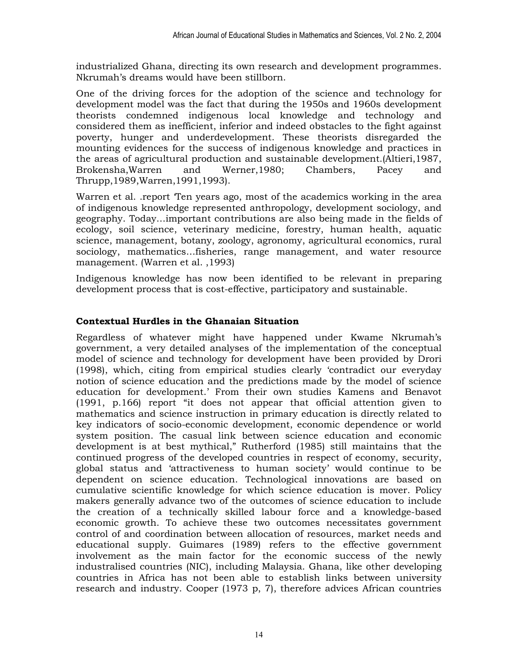industrialized Ghana, directing its own research and development programmes. Nkrumah's dreams would have been stillborn.

One of the driving forces for the adoption of the science and technology for development model was the fact that during the 1950s and 1960s development theorists condemned indigenous local knowledge and technology and considered them as inefficient, inferior and indeed obstacles to the fight against poverty, hunger and underdevelopment. These theorists disregarded the mounting evidences for the success of indigenous knowledge and practices in the areas of agricultural production and sustainable development.(Altieri,1987, Brokensha,Warren and Werner,1980; Chambers, Pacey and Thrupp,1989,Warren,1991,1993).

Warren et al. .report 'Ten years ago, most of the academics working in the area of indigenous knowledge represented anthropology, development sociology, and geography. Today…important contributions are also being made in the fields of ecology, soil science, veterinary medicine, forestry, human health, aquatic science, management, botany, zoology, agronomy, agricultural economics, rural sociology, mathematics…fisheries, range management, and water resource management. (Warren et al. ,1993)

Indigenous knowledge has now been identified to be relevant in preparing development process that is cost-effective, participatory and sustainable.

### Contextual Hurdles in the Ghanaian Situation

Regardless of whatever might have happened under Kwame Nkrumah's government, a very detailed analyses of the implementation of the conceptual model of science and technology for development have been provided by Drori (1998), which, citing from empirical studies clearly 'contradict our everyday notion of science education and the predictions made by the model of science education for development.' From their own studies Kamens and Benavot (1991, p.166) report "it does not appear that official attention given to mathematics and science instruction in primary education is directly related to key indicators of socio-economic development, economic dependence or world system position. The casual link between science education and economic development is at best mythical," Rutherford (1985) still maintains that the continued progress of the developed countries in respect of economy, security, global status and 'attractiveness to human society' would continue to be dependent on science education. Technological innovations are based on cumulative scientific knowledge for which science education is mover. Policy makers generally advance two of the outcomes of science education to include the creation of a technically skilled labour force and a knowledge-based economic growth. To achieve these two outcomes necessitates government control of and coordination between allocation of resources, market needs and educational supply. Guimares (1989) refers to the effective government involvement as the main factor for the economic success of the newly industralised countries (NIC), including Malaysia. Ghana, like other developing countries in Africa has not been able to establish links between university research and industry. Cooper (1973 p, 7), therefore advices African countries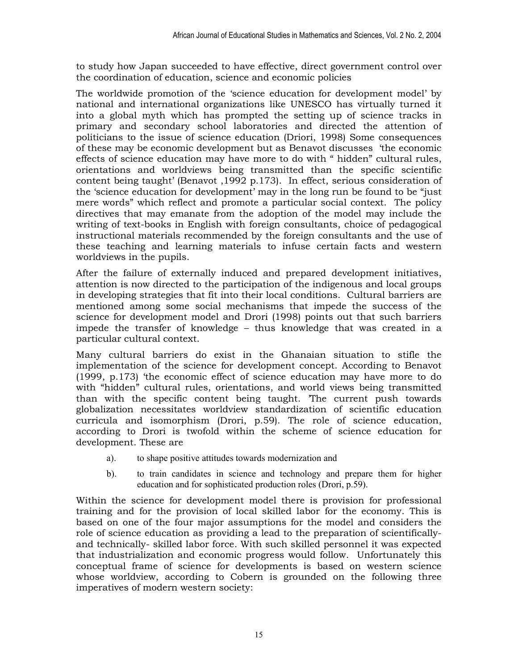to study how Japan succeeded to have effective, direct government control over the coordination of education, science and economic policies

The worldwide promotion of the 'science education for development model' by national and international organizations like UNESCO has virtually turned it into a global myth which has prompted the setting up of science tracks in primary and secondary school laboratories and directed the attention of politicians to the issue of science education (Driori, 1998) Some consequences of these may be economic development but as Benavot discusses 'the economic effects of science education may have more to do with " hidden" cultural rules, orientations and worldviews being transmitted than the specific scientific content being taught' (Benavot ,1992 p.173). In effect, serious consideration of the 'science education for development' may in the long run be found to be "just mere words" which reflect and promote a particular social context. The policy directives that may emanate from the adoption of the model may include the writing of text-books in English with foreign consultants, choice of pedagogical instructional materials recommended by the foreign consultants and the use of these teaching and learning materials to infuse certain facts and western worldviews in the pupils.

After the failure of externally induced and prepared development initiatives, attention is now directed to the participation of the indigenous and local groups in developing strategies that fit into their local conditions. Cultural barriers are mentioned among some social mechanisms that impede the success of the science for development model and Drori (1998) points out that such barriers impede the transfer of knowledge – thus knowledge that was created in a particular cultural context.

Many cultural barriers do exist in the Ghanaian situation to stifle the implementation of the science for development concept. According to Benavot (1999, p.173) 'the economic effect of science education may have more to do with "hidden" cultural rules, orientations, and world views being transmitted than with the specific content being taught. 'The current push towards globalization necessitates worldview standardization of scientific education curricula and isomorphism (Drori, p.59). The role of science education, according to Drori is twofold within the scheme of science education for development. These are

- a). to shape positive attitudes towards modernization and
- b). to train candidates in science and technology and prepare them for higher education and for sophisticated production roles (Drori, p.59).

Within the science for development model there is provision for professional training and for the provision of local skilled labor for the economy. This is based on one of the four major assumptions for the model and considers the role of science education as providing a lead to the preparation of scientificallyand technically- skilled labor force. With such skilled personnel it was expected that industrialization and economic progress would follow. Unfortunately this conceptual frame of science for developments is based on western science whose worldview, according to Cobern is grounded on the following three imperatives of modern western society: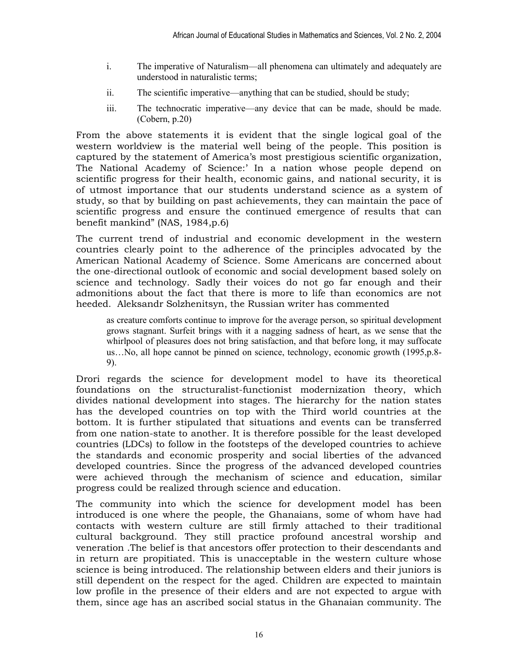- i. The imperative of Naturalism—all phenomena can ultimately and adequately are understood in naturalistic terms;
- ii. The scientific imperative—anything that can be studied, should be study;
- iii. The technocratic imperative—any device that can be made, should be made. (Cobern, p.20)

From the above statements it is evident that the single logical goal of the western worldview is the material well being of the people. This position is captured by the statement of America's most prestigious scientific organization, The National Academy of Science:' In a nation whose people depend on scientific progress for their health, economic gains, and national security, it is of utmost importance that our students understand science as a system of study, so that by building on past achievements, they can maintain the pace of scientific progress and ensure the continued emergence of results that can benefit mankind" (NAS, 1984,p.6)

The current trend of industrial and economic development in the western countries clearly point to the adherence of the principles advocated by the American National Academy of Science. Some Americans are concerned about the one-directional outlook of economic and social development based solely on science and technology. Sadly their voices do not go far enough and their admonitions about the fact that there is more to life than economics are not heeded. Aleksandr Solzhenitsyn, the Russian writer has commented

as creature comforts continue to improve for the average person, so spiritual development grows stagnant. Surfeit brings with it a nagging sadness of heart, as we sense that the whirlpool of pleasures does not bring satisfaction, and that before long, it may suffocate us…No, all hope cannot be pinned on science, technology, economic growth (1995,p.8- 9).

Drori regards the science for development model to have its theoretical foundations on the structuralist-functionist modernization theory, which divides national development into stages. The hierarchy for the nation states has the developed countries on top with the Third world countries at the bottom. It is further stipulated that situations and events can be transferred from one nation-state to another. It is therefore possible for the least developed countries (LDCs) to follow in the footsteps of the developed countries to achieve the standards and economic prosperity and social liberties of the advanced developed countries. Since the progress of the advanced developed countries were achieved through the mechanism of science and education, similar progress could be realized through science and education.

The community into which the science for development model has been introduced is one where the people, the Ghanaians, some of whom have had contacts with western culture are still firmly attached to their traditional cultural background. They still practice profound ancestral worship and veneration .The belief is that ancestors offer protection to their descendants and in return are propitiated. This is unacceptable in the western culture whose science is being introduced. The relationship between elders and their juniors is still dependent on the respect for the aged. Children are expected to maintain low profile in the presence of their elders and are not expected to argue with them, since age has an ascribed social status in the Ghanaian community. The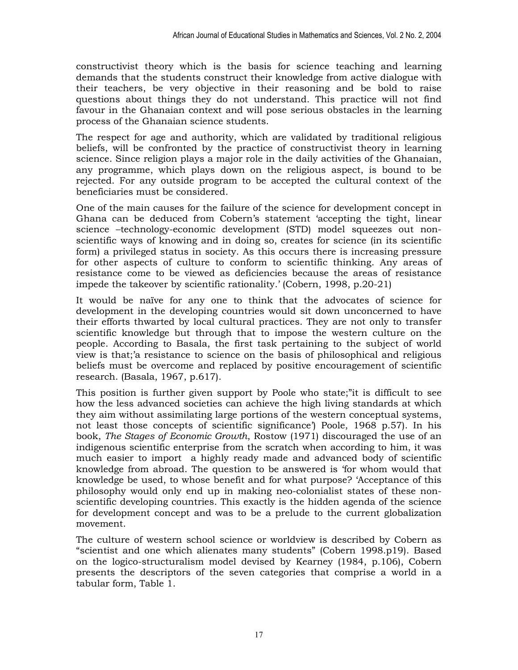constructivist theory which is the basis for science teaching and learning demands that the students construct their knowledge from active dialogue with their teachers, be very objective in their reasoning and be bold to raise questions about things they do not understand. This practice will not find favour in the Ghanaian context and will pose serious obstacles in the learning process of the Ghanaian science students.

The respect for age and authority, which are validated by traditional religious beliefs, will be confronted by the practice of constructivist theory in learning science. Since religion plays a major role in the daily activities of the Ghanaian, any programme, which plays down on the religious aspect, is bound to be rejected. For any outside program to be accepted the cultural context of the beneficiaries must be considered.

One of the main causes for the failure of the science for development concept in Ghana can be deduced from Cobern's statement 'accepting the tight, linear science –technology-economic development (STD) model squeezes out nonscientific ways of knowing and in doing so, creates for science (in its scientific form) a privileged status in society. As this occurs there is increasing pressure for other aspects of culture to conform to scientific thinking. Any areas of resistance come to be viewed as deficiencies because the areas of resistance impede the takeover by scientific rationality.' (Cobern, 1998, p.20-21)

It would be naïve for any one to think that the advocates of science for development in the developing countries would sit down unconcerned to have their efforts thwarted by local cultural practices. They are not only to transfer scientific knowledge but through that to impose the western culture on the people. According to Basala, the first task pertaining to the subject of world view is that;'a resistance to science on the basis of philosophical and religious beliefs must be overcome and replaced by positive encouragement of scientific research. (Basala, 1967, p.617).

This position is further given support by Poole who state;"it is difficult to see how the less advanced societies can achieve the high living standards at which they aim without assimilating large portions of the western conceptual systems, not least those concepts of scientific significance') Poole, 1968 p.57). In his book, The Stages of Economic Growth, Rostow (1971) discouraged the use of an indigenous scientific enterprise from the scratch when according to him, it was much easier to import a highly ready made and advanced body of scientific knowledge from abroad. The question to be answered is 'for whom would that knowledge be used, to whose benefit and for what purpose? 'Acceptance of this philosophy would only end up in making neo-colonialist states of these nonscientific developing countries. This exactly is the hidden agenda of the science for development concept and was to be a prelude to the current globalization movement.

The culture of western school science or worldview is described by Cobern as "scientist and one which alienates many students" (Cobern 1998.p19). Based on the logico-structuralism model devised by Kearney (1984, p.106), Cobern presents the descriptors of the seven categories that comprise a world in a tabular form, Table 1.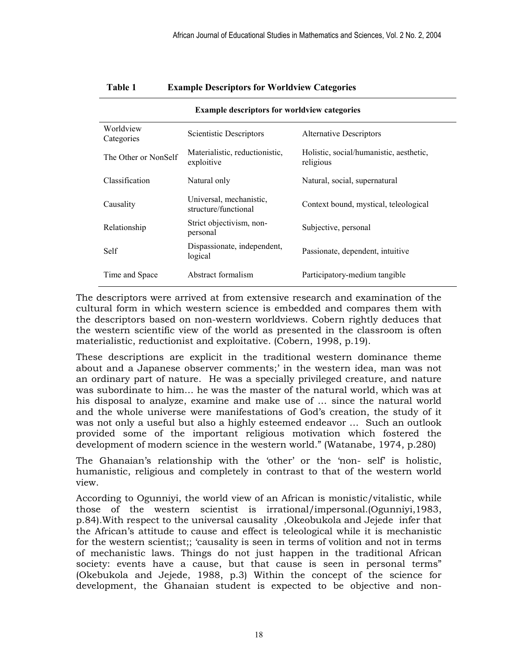| <b>Example descriptors for worldview categories</b> |                                                 |                                                      |
|-----------------------------------------------------|-------------------------------------------------|------------------------------------------------------|
| Worldview<br>Categories                             | Scientistic Descriptors                         | <b>Alternative Descriptors</b>                       |
| The Other or NonSelf                                | Materialistic, reductionistic,<br>exploitive    | Holistic, social/humanistic, aesthetic,<br>religious |
| Classification                                      | Natural only                                    | Natural, social, supernatural                        |
| Causality                                           | Universal, mechanistic,<br>structure/functional | Context bound, mystical, teleological                |
| Relationship                                        | Strict objectivism, non-<br>personal            | Subjective, personal                                 |
| Self                                                | Dispassionate, independent,<br>logical          | Passionate, dependent, intuitive                     |
| Time and Space                                      | Abstract formalism                              | Participatory-medium tangible                        |

#### Table 1 Example Descriptors for Worldview Categories

The descriptors were arrived at from extensive research and examination of the cultural form in which western science is embedded and compares them with the descriptors based on non-western worldviews. Cobern rightly deduces that the western scientific view of the world as presented in the classroom is often materialistic, reductionist and exploitative. (Cobern, 1998, p.19).

These descriptions are explicit in the traditional western dominance theme about and a Japanese observer comments;' in the western idea, man was not an ordinary part of nature. He was a specially privileged creature, and nature was subordinate to him… he was the master of the natural world, which was at his disposal to analyze, examine and make use of … since the natural world and the whole universe were manifestations of God's creation, the study of it was not only a useful but also a highly esteemed endeavor … Such an outlook provided some of the important religious motivation which fostered the development of modern science in the western world." (Watanabe, 1974, p.280)

The Ghanaian's relationship with the 'other' or the 'non- self' is holistic, humanistic, religious and completely in contrast to that of the western world view.

According to Ogunniyi, the world view of an African is monistic/vitalistic, while those of the western scientist is irrational/impersonal.(Ogunniyi,1983, p.84).With respect to the universal causality ,Okeobukola and Jejede infer that the African's attitude to cause and effect is teleological while it is mechanistic for the western scientist;; 'causality is seen in terms of volition and not in terms of mechanistic laws. Things do not just happen in the traditional African society: events have a cause, but that cause is seen in personal terms" (Okebukola and Jejede, 1988, p.3) Within the concept of the science for development, the Ghanaian student is expected to be objective and non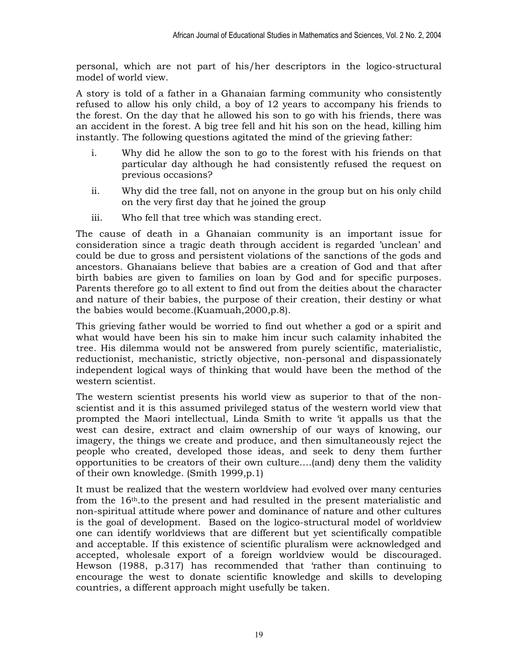personal, which are not part of his/her descriptors in the logico-structural model of world view.

A story is told of a father in a Ghanaian farming community who consistently refused to allow his only child, a boy of 12 years to accompany his friends to the forest. On the day that he allowed his son to go with his friends, there was an accident in the forest. A big tree fell and hit his son on the head, killing him instantly. The following questions agitated the mind of the grieving father:

- i. Why did he allow the son to go to the forest with his friends on that particular day although he had consistently refused the request on previous occasions?
- ii. Why did the tree fall, not on anyone in the group but on his only child on the very first day that he joined the group
- iii. Who fell that tree which was standing erect.

The cause of death in a Ghanaian community is an important issue for consideration since a tragic death through accident is regarded 'unclean' and could be due to gross and persistent violations of the sanctions of the gods and ancestors. Ghanaians believe that babies are a creation of God and that after birth babies are given to families on loan by God and for specific purposes. Parents therefore go to all extent to find out from the deities about the character and nature of their babies, the purpose of their creation, their destiny or what the babies would become.(Kuamuah,2000,p.8).

This grieving father would be worried to find out whether a god or a spirit and what would have been his sin to make him incur such calamity inhabited the tree. His dilemma would not be answered from purely scientific, materialistic, reductionist, mechanistic, strictly objective, non-personal and dispassionately independent logical ways of thinking that would have been the method of the western scientist.

The western scientist presents his world view as superior to that of the nonscientist and it is this assumed privileged status of the western world view that prompted the Maori intellectual, Linda Smith to write 'it appalls us that the west can desire, extract and claim ownership of our ways of knowing, our imagery, the things we create and produce, and then simultaneously reject the people who created, developed those ideas, and seek to deny them further opportunities to be creators of their own culture….(and) deny them the validity of their own knowledge. (Smith 1999,p.1)

It must be realized that the western worldview had evolved over many centuries from the  $16<sup>th</sup>$  to the present and had resulted in the present materialistic and non-spiritual attitude where power and dominance of nature and other cultures is the goal of development. Based on the logico-structural model of worldview one can identify worldviews that are different but yet scientifically compatible and acceptable. If this existence of scientific pluralism were acknowledged and accepted, wholesale export of a foreign worldview would be discouraged. Hewson (1988, p.317) has recommended that 'rather than continuing to encourage the west to donate scientific knowledge and skills to developing countries, a different approach might usefully be taken.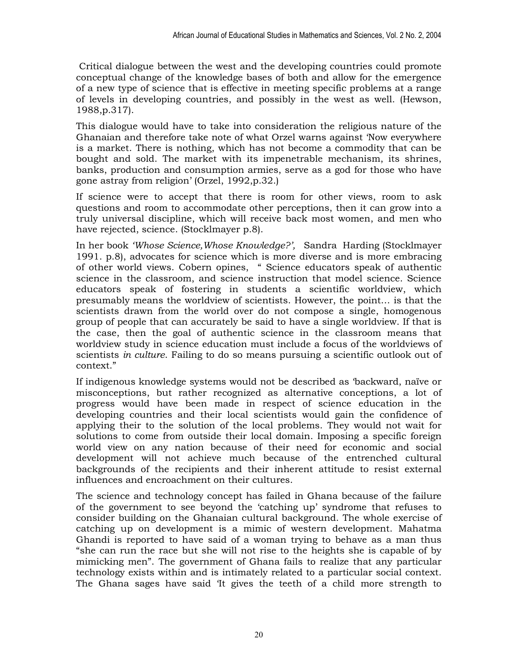Critical dialogue between the west and the developing countries could promote conceptual change of the knowledge bases of both and allow for the emergence of a new type of science that is effective in meeting specific problems at a range of levels in developing countries, and possibly in the west as well. (Hewson, 1988,p.317).

This dialogue would have to take into consideration the religious nature of the Ghanaian and therefore take note of what Orzel warns against 'Now everywhere is a market. There is nothing, which has not become a commodity that can be bought and sold. The market with its impenetrable mechanism, its shrines, banks, production and consumption armies, serve as a god for those who have gone astray from religion' (Orzel, 1992,p.32.)

If science were to accept that there is room for other views, room to ask questions and room to accommodate other perceptions, then it can grow into a truly universal discipline, which will receive back most women, and men who have rejected, science. (Stocklmayer p.8).

In her book 'Whose Science,Whose Knowledge?', Sandra Harding (Stocklmayer 1991. p.8), advocates for science which is more diverse and is more embracing of other world views. Cobern opines, " Science educators speak of authentic science in the classroom, and science instruction that model science. Science educators speak of fostering in students a scientific worldview, which presumably means the worldview of scientists. However, the point… is that the scientists drawn from the world over do not compose a single, homogenous group of people that can accurately be said to have a single worldview. If that is the case, then the goal of authentic science in the classroom means that worldview study in science education must include a focus of the worldviews of scientists *in culture*. Failing to do so means pursuing a scientific outlook out of context."

If indigenous knowledge systems would not be described as 'backward, naïve or misconceptions, but rather recognized as alternative conceptions, a lot of progress would have been made in respect of science education in the developing countries and their local scientists would gain the confidence of applying their to the solution of the local problems. They would not wait for solutions to come from outside their local domain. Imposing a specific foreign world view on any nation because of their need for economic and social development will not achieve much because of the entrenched cultural backgrounds of the recipients and their inherent attitude to resist external influences and encroachment on their cultures.

The science and technology concept has failed in Ghana because of the failure of the government to see beyond the 'catching up' syndrome that refuses to consider building on the Ghanaian cultural background. The whole exercise of catching up on development is a mimic of western development. Mahatma Ghandi is reported to have said of a woman trying to behave as a man thus "she can run the race but she will not rise to the heights she is capable of by mimicking men". The government of Ghana fails to realize that any particular technology exists within and is intimately related to a particular social context. The Ghana sages have said 'It gives the teeth of a child more strength to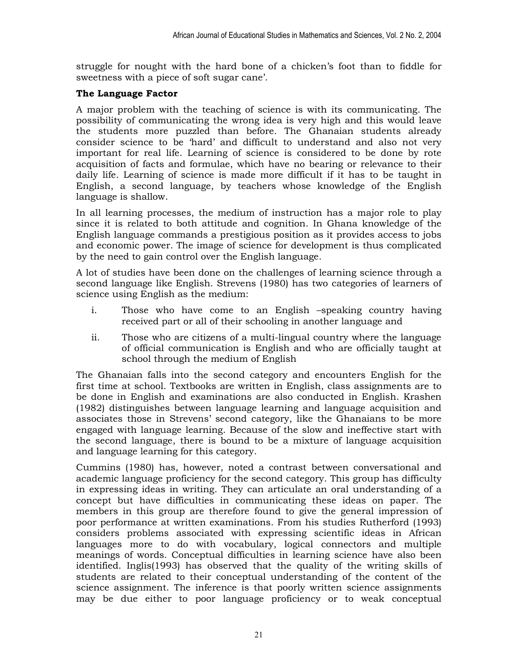struggle for nought with the hard bone of a chicken's foot than to fiddle for sweetness with a piece of soft sugar cane'.

# The Language Factor

A major problem with the teaching of science is with its communicating. The possibility of communicating the wrong idea is very high and this would leave the students more puzzled than before. The Ghanaian students already consider science to be 'hard' and difficult to understand and also not very important for real life. Learning of science is considered to be done by rote acquisition of facts and formulae, which have no bearing or relevance to their daily life. Learning of science is made more difficult if it has to be taught in English, a second language, by teachers whose knowledge of the English language is shallow.

In all learning processes, the medium of instruction has a major role to play since it is related to both attitude and cognition. In Ghana knowledge of the English language commands a prestigious position as it provides access to jobs and economic power. The image of science for development is thus complicated by the need to gain control over the English language.

A lot of studies have been done on the challenges of learning science through a second language like English. Strevens (1980) has two categories of learners of science using English as the medium:

- i. Those who have come to an English –speaking country having received part or all of their schooling in another language and
- ii. Those who are citizens of a multi-lingual country where the language of official communication is English and who are officially taught at school through the medium of English

The Ghanaian falls into the second category and encounters English for the first time at school. Textbooks are written in English, class assignments are to be done in English and examinations are also conducted in English. Krashen (1982) distinguishes between language learning and language acquisition and associates those in Strevens' second category, like the Ghanaians to be more engaged with language learning. Because of the slow and ineffective start with the second language, there is bound to be a mixture of language acquisition and language learning for this category.

Cummins (1980) has, however, noted a contrast between conversational and academic language proficiency for the second category. This group has difficulty in expressing ideas in writing. They can articulate an oral understanding of a concept but have difficulties in communicating these ideas on paper. The members in this group are therefore found to give the general impression of poor performance at written examinations. From his studies Rutherford (1993) considers problems associated with expressing scientific ideas in African languages more to do with vocabulary, logical connectors and multiple meanings of words. Conceptual difficulties in learning science have also been identified. Inglis(1993) has observed that the quality of the writing skills of students are related to their conceptual understanding of the content of the science assignment. The inference is that poorly written science assignments may be due either to poor language proficiency or to weak conceptual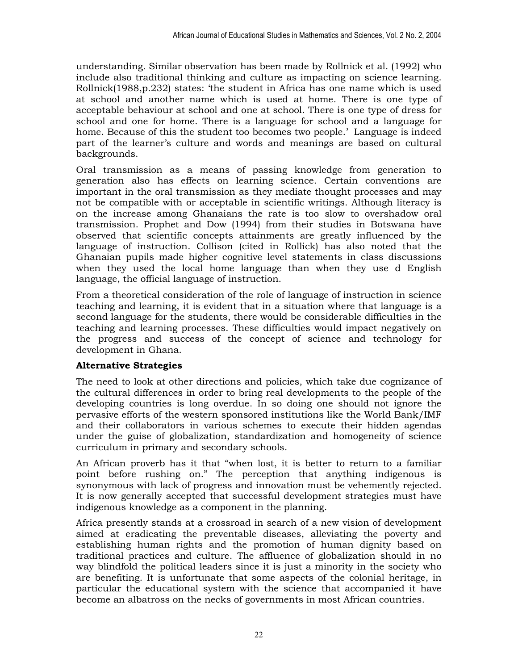understanding. Similar observation has been made by Rollnick et al. (1992) who include also traditional thinking and culture as impacting on science learning. Rollnick(1988,p.232) states: 'the student in Africa has one name which is used at school and another name which is used at home. There is one type of acceptable behaviour at school and one at school. There is one type of dress for school and one for home. There is a language for school and a language for home. Because of this the student too becomes two people.' Language is indeed part of the learner's culture and words and meanings are based on cultural backgrounds.

Oral transmission as a means of passing knowledge from generation to generation also has effects on learning science. Certain conventions are important in the oral transmission as they mediate thought processes and may not be compatible with or acceptable in scientific writings. Although literacy is on the increase among Ghanaians the rate is too slow to overshadow oral transmission. Prophet and Dow (1994) from their studies in Botswana have observed that scientific concepts attainments are greatly influenced by the language of instruction. Collison (cited in Rollick) has also noted that the Ghanaian pupils made higher cognitive level statements in class discussions when they used the local home language than when they use d English language, the official language of instruction.

From a theoretical consideration of the role of language of instruction in science teaching and learning, it is evident that in a situation where that language is a second language for the students, there would be considerable difficulties in the teaching and learning processes. These difficulties would impact negatively on the progress and success of the concept of science and technology for development in Ghana.

# Alternative Strategies

The need to look at other directions and policies, which take due cognizance of the cultural differences in order to bring real developments to the people of the developing countries is long overdue. In so doing one should not ignore the pervasive efforts of the western sponsored institutions like the World Bank/IMF and their collaborators in various schemes to execute their hidden agendas under the guise of globalization, standardization and homogeneity of science curriculum in primary and secondary schools.

An African proverb has it that "when lost, it is better to return to a familiar point before rushing on." The perception that anything indigenous is synonymous with lack of progress and innovation must be vehemently rejected. It is now generally accepted that successful development strategies must have indigenous knowledge as a component in the planning.

Africa presently stands at a crossroad in search of a new vision of development aimed at eradicating the preventable diseases, alleviating the poverty and establishing human rights and the promotion of human dignity based on traditional practices and culture. The affluence of globalization should in no way blindfold the political leaders since it is just a minority in the society who are benefiting. It is unfortunate that some aspects of the colonial heritage, in particular the educational system with the science that accompanied it have become an albatross on the necks of governments in most African countries.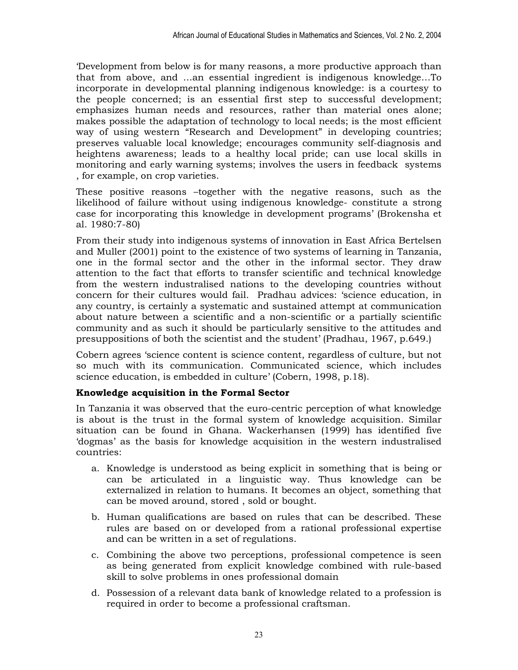'Development from below is for many reasons, a more productive approach than that from above, and …an essential ingredient is indigenous knowledge…To incorporate in developmental planning indigenous knowledge: is a courtesy to the people concerned; is an essential first step to successful development; emphasizes human needs and resources, rather than material ones alone; makes possible the adaptation of technology to local needs; is the most efficient way of using western "Research and Development" in developing countries; preserves valuable local knowledge; encourages community self-diagnosis and heightens awareness; leads to a healthy local pride; can use local skills in monitoring and early warning systems; involves the users in feedback systems , for example, on crop varieties.

These positive reasons –together with the negative reasons, such as the likelihood of failure without using indigenous knowledge- constitute a strong case for incorporating this knowledge in development programs' (Brokensha et al. 1980:7-80)

From their study into indigenous systems of innovation in East Africa Bertelsen and Muller (2001) point to the existence of two systems of learning in Tanzania, one in the formal sector and the other in the informal sector. They draw attention to the fact that efforts to transfer scientific and technical knowledge from the western industralised nations to the developing countries without concern for their cultures would fail. Pradhau advices: 'science education, in any country, is certainly a systematic and sustained attempt at communication about nature between a scientific and a non-scientific or a partially scientific community and as such it should be particularly sensitive to the attitudes and presuppositions of both the scientist and the student' (Pradhau, 1967, p.649.)

Cobern agrees 'science content is science content, regardless of culture, but not so much with its communication. Communicated science, which includes science education, is embedded in culture' (Cobern, 1998, p.18).

# Knowledge acquisition in the Formal Sector

In Tanzania it was observed that the euro-centric perception of what knowledge is about is the trust in the formal system of knowledge acquisition. Similar situation can be found in Ghana. Wackerhansen (1999) has identified five 'dogmas' as the basis for knowledge acquisition in the western industralised countries:

- a. Knowledge is understood as being explicit in something that is being or can be articulated in a linguistic way. Thus knowledge can be externalized in relation to humans. It becomes an object, something that can be moved around, stored , sold or bought.
- b. Human qualifications are based on rules that can be described. These rules are based on or developed from a rational professional expertise and can be written in a set of regulations.
- c. Combining the above two perceptions, professional competence is seen as being generated from explicit knowledge combined with rule-based skill to solve problems in ones professional domain
- d. Possession of a relevant data bank of knowledge related to a profession is required in order to become a professional craftsman.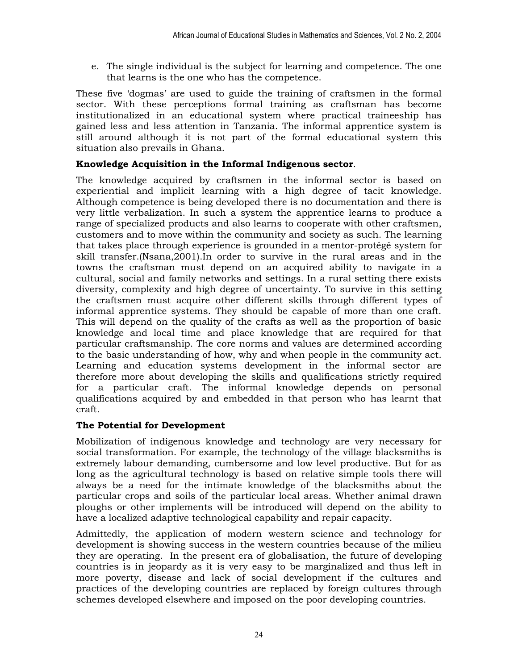e. The single individual is the subject for learning and competence. The one that learns is the one who has the competence.

These five 'dogmas' are used to guide the training of craftsmen in the formal sector. With these perceptions formal training as craftsman has become institutionalized in an educational system where practical traineeship has gained less and less attention in Tanzania. The informal apprentice system is still around although it is not part of the formal educational system this situation also prevails in Ghana.

# Knowledge Acquisition in the Informal Indigenous sector.

The knowledge acquired by craftsmen in the informal sector is based on experiential and implicit learning with a high degree of tacit knowledge. Although competence is being developed there is no documentation and there is very little verbalization. In such a system the apprentice learns to produce a range of specialized products and also learns to cooperate with other craftsmen, customers and to move within the community and society as such. The learning that takes place through experience is grounded in a mentor-protégé system for skill transfer.(Nsana,2001).In order to survive in the rural areas and in the towns the craftsman must depend on an acquired ability to navigate in a cultural, social and family networks and settings. In a rural setting there exists diversity, complexity and high degree of uncertainty. To survive in this setting the craftsmen must acquire other different skills through different types of informal apprentice systems. They should be capable of more than one craft. This will depend on the quality of the crafts as well as the proportion of basic knowledge and local time and place knowledge that are required for that particular craftsmanship. The core norms and values are determined according to the basic understanding of how, why and when people in the community act. Learning and education systems development in the informal sector are therefore more about developing the skills and qualifications strictly required for a particular craft. The informal knowledge depends on personal qualifications acquired by and embedded in that person who has learnt that craft.

# The Potential for Development

Mobilization of indigenous knowledge and technology are very necessary for social transformation. For example, the technology of the village blacksmiths is extremely labour demanding, cumbersome and low level productive. But for as long as the agricultural technology is based on relative simple tools there will always be a need for the intimate knowledge of the blacksmiths about the particular crops and soils of the particular local areas. Whether animal drawn ploughs or other implements will be introduced will depend on the ability to have a localized adaptive technological capability and repair capacity.

Admittedly, the application of modern western science and technology for development is showing success in the western countries because of the milieu they are operating. In the present era of globalisation, the future of developing countries is in jeopardy as it is very easy to be marginalized and thus left in more poverty, disease and lack of social development if the cultures and practices of the developing countries are replaced by foreign cultures through schemes developed elsewhere and imposed on the poor developing countries.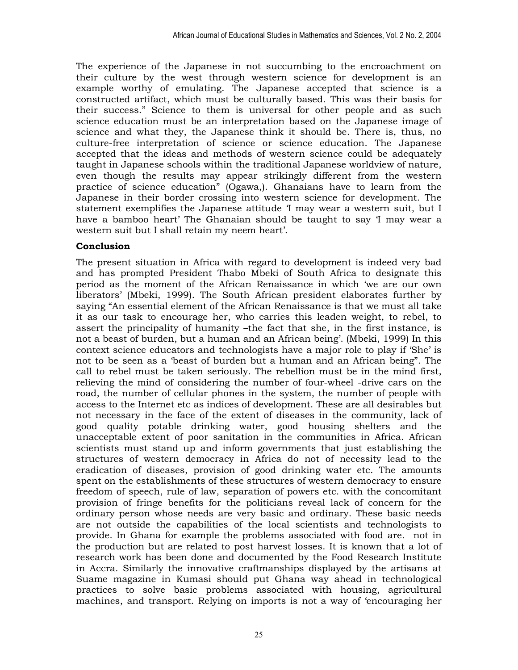The experience of the Japanese in not succumbing to the encroachment on their culture by the west through western science for development is an example worthy of emulating. The Japanese accepted that science is a constructed artifact, which must be culturally based. This was their basis for their success." Science to them is universal for other people and as such science education must be an interpretation based on the Japanese image of science and what they, the Japanese think it should be. There is, thus, no culture-free interpretation of science or science education. The Japanese accepted that the ideas and methods of western science could be adequately taught in Japanese schools within the traditional Japanese worldview of nature, even though the results may appear strikingly different from the western practice of science education" (Ogawa,). Ghanaians have to learn from the Japanese in their border crossing into western science for development. The statement exemplifies the Japanese attitude 'I may wear a western suit, but I have a bamboo heart' The Ghanaian should be taught to say 'I may wear a western suit but I shall retain my neem heart'.

#### Conclusion

The present situation in Africa with regard to development is indeed very bad and has prompted President Thabo Mbeki of South Africa to designate this period as the moment of the African Renaissance in which 'we are our own liberators' (Mbeki, 1999). The South African president elaborates further by saying "An essential element of the African Renaissance is that we must all take it as our task to encourage her, who carries this leaden weight, to rebel, to assert the principality of humanity –the fact that she, in the first instance, is not a beast of burden, but a human and an African being'. (Mbeki, 1999) In this context science educators and technologists have a major role to play if 'She' is not to be seen as a 'beast of burden but a human and an African being". The call to rebel must be taken seriously. The rebellion must be in the mind first, relieving the mind of considering the number of four-wheel -drive cars on the road, the number of cellular phones in the system, the number of people with access to the Internet etc as indices of development. These are all desirables but not necessary in the face of the extent of diseases in the community, lack of good quality potable drinking water, good housing shelters and the unacceptable extent of poor sanitation in the communities in Africa. African scientists must stand up and inform governments that just establishing the structures of western democracy in Africa do not of necessity lead to the eradication of diseases, provision of good drinking water etc. The amounts spent on the establishments of these structures of western democracy to ensure freedom of speech, rule of law, separation of powers etc. with the concomitant provision of fringe benefits for the politicians reveal lack of concern for the ordinary person whose needs are very basic and ordinary. These basic needs are not outside the capabilities of the local scientists and technologists to provide. In Ghana for example the problems associated with food are. not in the production but are related to post harvest losses. It is known that a lot of research work has been done and documented by the Food Research Institute in Accra. Similarly the innovative craftmanships displayed by the artisans at Suame magazine in Kumasi should put Ghana way ahead in technological practices to solve basic problems associated with housing, agricultural machines, and transport. Relying on imports is not a way of 'encouraging her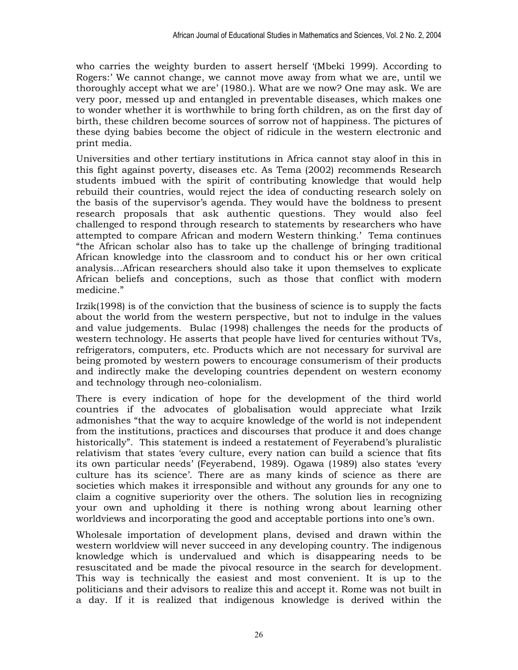who carries the weighty burden to assert herself '(Mbeki 1999). According to Rogers:' We cannot change, we cannot move away from what we are, until we thoroughly accept what we are' (1980.). What are we now? One may ask. We are very poor, messed up and entangled in preventable diseases, which makes one to wonder whether it is worthwhile to bring forth children, as on the first day of birth, these children become sources of sorrow not of happiness. The pictures of these dying babies become the object of ridicule in the western electronic and print media.

Universities and other tertiary institutions in Africa cannot stay aloof in this in this fight against poverty, diseases etc. As Tema (2002) recommends Research students imbued with the spirit of contributing knowledge that would help rebuild their countries, would reject the idea of conducting research solely on the basis of the supervisor's agenda. They would have the boldness to present research proposals that ask authentic questions. They would also feel challenged to respond through research to statements by researchers who have attempted to compare African and modern Western thinking.' Tema continues "the African scholar also has to take up the challenge of bringing traditional African knowledge into the classroom and to conduct his or her own critical analysis…African researchers should also take it upon themselves to explicate African beliefs and conceptions, such as those that conflict with modern medicine."

Irzik(1998) is of the conviction that the business of science is to supply the facts about the world from the western perspective, but not to indulge in the values and value judgements. Bulac (1998) challenges the needs for the products of western technology. He asserts that people have lived for centuries without TVs, refrigerators, computers, etc. Products which are not necessary for survival are being promoted by western powers to encourage consumerism of their products and indirectly make the developing countries dependent on western economy and technology through neo-colonialism.

There is every indication of hope for the development of the third world countries if the advocates of globalisation would appreciate what Irzik admonishes "that the way to acquire knowledge of the world is not independent from the institutions, practices and discourses that produce it and does change historically". This statement is indeed a restatement of Feyerabend's pluralistic relativism that states 'every culture, every nation can build a science that fits its own particular needs' (Feyerabend, 1989). Ogawa (1989) also states 'every culture has its science'. There are as many kinds of science as there are societies which makes it irresponsible and without any grounds for any one to claim a cognitive superiority over the others. The solution lies in recognizing your own and upholding it there is nothing wrong about learning other worldviews and incorporating the good and acceptable portions into one's own.

Wholesale importation of development plans, devised and drawn within the western worldview will never succeed in any developing country. The indigenous knowledge which is undervalued and which is disappearing needs to be resuscitated and be made the pivocal resource in the search for development. This way is technically the easiest and most convenient. It is up to the politicians and their advisors to realize this and accept it. Rome was not built in a day. If it is realized that indigenous knowledge is derived within the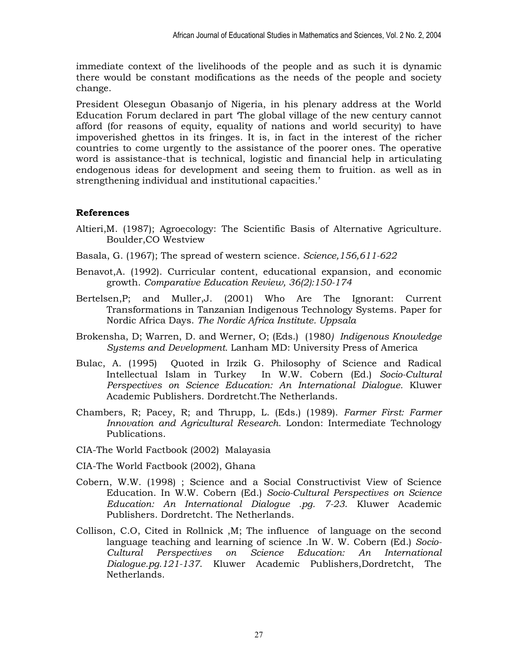immediate context of the livelihoods of the people and as such it is dynamic there would be constant modifications as the needs of the people and society change.

President Olesegun Obasanjo of Nigeria, in his plenary address at the World Education Forum declared in part 'The global village of the new century cannot afford (for reasons of equity, equality of nations and world security) to have impoverished ghettos in its fringes. It is, in fact in the interest of the richer countries to come urgently to the assistance of the poorer ones. The operative word is assistance-that is technical, logistic and financial help in articulating endogenous ideas for development and seeing them to fruition. as well as in strengthening individual and institutional capacities.'

#### References

- Altieri,M. (1987); Agroecology: The Scientific Basis of Alternative Agriculture. Boulder,CO Westview
- Basala, G. (1967); The spread of western science. Science,156,611-622
- Benavot,A. (1992). Curricular content, educational expansion, and economic growth. Comparative Education Review, 36(2):150-174
- Bertelsen,P; and Muller,J. (2001) Who Are The Ignorant: Current Transformations in Tanzanian Indigenous Technology Systems. Paper for Nordic Africa Days. The Nordic Africa Institute. Uppsala
- Brokensha, D; Warren, D. and Werner, O; (Eds.) (1980) Indigenous Knowledge Systems and Development. Lanham MD: University Press of America
- Bulac, A. (1995) Quoted in Irzik G. Philosophy of Science and Radical Intellectual Islam in Turkey In W.W. Cobern (Ed.) Socio-Cultural Perspectives on Science Education: An International Dialogue. Kluwer Academic Publishers. Dordretcht.The Netherlands.
- Chambers, R; Pacey, R; and Thrupp, L. (Eds.) (1989). Farmer First: Farmer Innovation and Agricultural Research. London: Intermediate Technology Publications.
- CIA-The World Factbook (2002) Malayasia
- CIA-The World Factbook (2002), Ghana
- Cobern, W.W. (1998) ; Science and a Social Constructivist View of Science Education. In W.W. Cobern (Ed.) Socio-Cultural Perspectives on Science Education: An International Dialogue .pg. 7-23. Kluwer Academic Publishers. Dordretcht. The Netherlands.
- Collison, C.O, Cited in Rollnick ,M; The influence of language on the second language teaching and learning of science .In W. W. Cobern (Ed.) Socio-Cultural Perspectives on Science Education: An International Dialogue.pg.121-137. Kluwer Academic Publishers,Dordretcht, The Netherlands.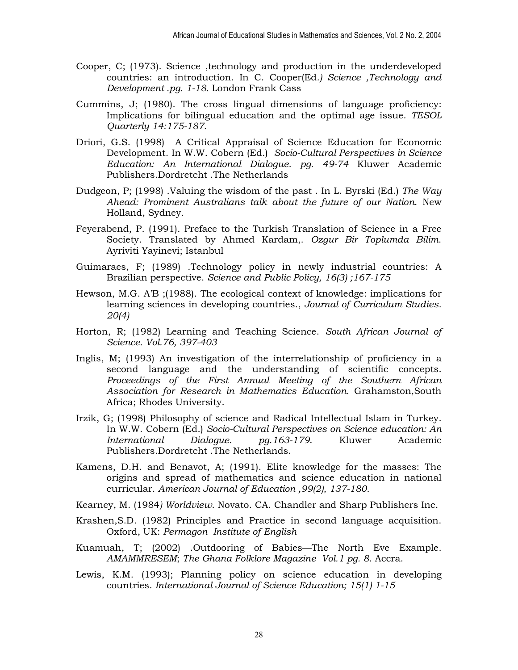- Cooper, C; (1973). Science ,technology and production in the underdeveloped countries: an introduction. In C. Cooper(Ed.) Science ,Technology and Development .pg. 1-18. London Frank Cass
- Cummins, J; (1980). The cross lingual dimensions of language proficiency: Implications for bilingual education and the optimal age issue. TESOL Quarterly 14:175-187.
- Driori, G.S. (1998) A Critical Appraisal of Science Education for Economic Development. In W.W. Cobern (Ed.) Socio-Cultural Perspectives in Science Education: An International Dialogue. pg. 49-74 Kluwer Academic Publishers.Dordretcht .The Netherlands
- Dudgeon, P; (1998) .Valuing the wisdom of the past . In L. Byrski (Ed.) The Way Ahead: Prominent Australians talk about the future of our Nation. New Holland, Sydney.
- Feyerabend, P. (1991). Preface to the Turkish Translation of Science in a Free Society. Translated by Ahmed Kardam,. Ozgur Bir Toplumda Bilim. Ayriviti Yayinevi; Istanbul
- Guimaraes, F; (1989) .Technology policy in newly industrial countries: A Brazilian perspective. Science and Public Policy, 16(3) ;167-175
- Hewson, M.G. A'B ;(1988). The ecological context of knowledge: implications for learning sciences in developing countries., Journal of Curriculum Studies. 20(4)
- Horton, R; (1982) Learning and Teaching Science. South African Journal of Science. Vol.76, 397-403
- Inglis, M; (1993) An investigation of the interrelationship of proficiency in a second language and the understanding of scientific concepts. Proceedings of the First Annual Meeting of the Southern African Association for Research in Mathematics Education. Grahamston,South Africa; Rhodes University.
- Irzik, G; (1998) Philosophy of science and Radical Intellectual Islam in Turkey. In W.W. Cobern (Ed.) Socio-Cultural Perspectives on Science education: An International Dialogue. pg.163-179. Kluwer Academic Publishers.Dordretcht .The Netherlands.
- Kamens, D.H. and Benavot, A; (1991). Elite knowledge for the masses: The origins and spread of mathematics and science education in national curricular. American Journal of Education ,99(2), 137-180.
- Kearney, M. (1984) Worldview. Novato. CA. Chandler and Sharp Publishers Inc.
- Krashen,S.D. (1982) Principles and Practice in second language acquisition. Oxford, UK: Permagon Institute of English
- Kuamuah, T; (2002) .Outdooring of Babies—The North Eve Example. AMAMMRESEM; The Ghana Folklore Magazine Vol.1 pg. 8. Accra.
- Lewis, K.M. (1993); Planning policy on science education in developing countries. International Journal of Science Education; 15(1) 1-15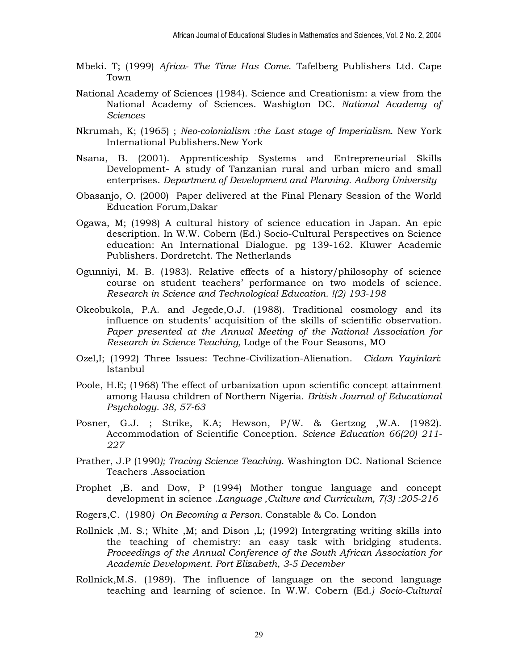- Mbeki. T; (1999) Africa- The Time Has Come. Tafelberg Publishers Ltd. Cape Town
- National Academy of Sciences (1984). Science and Creationism: a view from the National Academy of Sciences. Washigton DC. National Academy of Sciences
- Nkrumah, K; (1965) ; Neo-colonialism :the Last stage of Imperialism. New York International Publishers.New York
- Nsana, B. (2001). Apprenticeship Systems and Entrepreneurial Skills Development- A study of Tanzanian rural and urban micro and small enterprises. Department of Development and Planning. Aalborg University
- Obasanjo, O. (2000) Paper delivered at the Final Plenary Session of the World Education Forum,Dakar
- Ogawa, M; (1998) A cultural history of science education in Japan. An epic description. In W.W. Cobern (Ed.) Socio-Cultural Perspectives on Science education: An International Dialogue. pg 139-162. Kluwer Academic Publishers. Dordretcht. The Netherlands
- Ogunniyi, M. B. (1983). Relative effects of a history/philosophy of science course on student teachers' performance on two models of science. Research in Science and Technological Education. !(2) 193-198
- Okeobukola, P.A. and Jegede,O.J. (1988). Traditional cosmology and its influence on students' acquisition of the skills of scientific observation. Paper presented at the Annual Meeting of the National Association for Research in Science Teaching, Lodge of the Four Seasons, MO
- Ozel,I; (1992) Three Issues: Techne-Civilization-Alienation. Cidam Yayinlari: Istanbul
- Poole, H.E; (1968) The effect of urbanization upon scientific concept attainment among Hausa children of Northern Nigeria. British Journal of Educational Psychology. 38, 57-63
- Posner, G.J. ; Strike, K.A; Hewson, P/W. & Gertzog ,W.A. (1982). Accommodation of Scientific Conception. Science Education 66(20) 211- 227
- Prather, J.P (1990); Tracing Science Teaching. Washington DC. National Science Teachers .Association
- Prophet ,B. and Dow, P (1994) Mother tongue language and concept development in science .Language ,Culture and Curriculum, 7(3) :205-216
- Rogers,C. (1980) On Becoming a Person. Constable & Co. London
- Rollnick ,M. S.; White ,M; and Dison ,L; (1992) Intergrating writing skills into the teaching of chemistry: an easy task with bridging students. Proceedings of the Annual Conference of the South African Association for Academic Development. Port Elizabeth, 3-5 December
- Rollnick,M.S. (1989). The influence of language on the second language teaching and learning of science. In W.W. Cobern (Ed.) Socio-Cultural